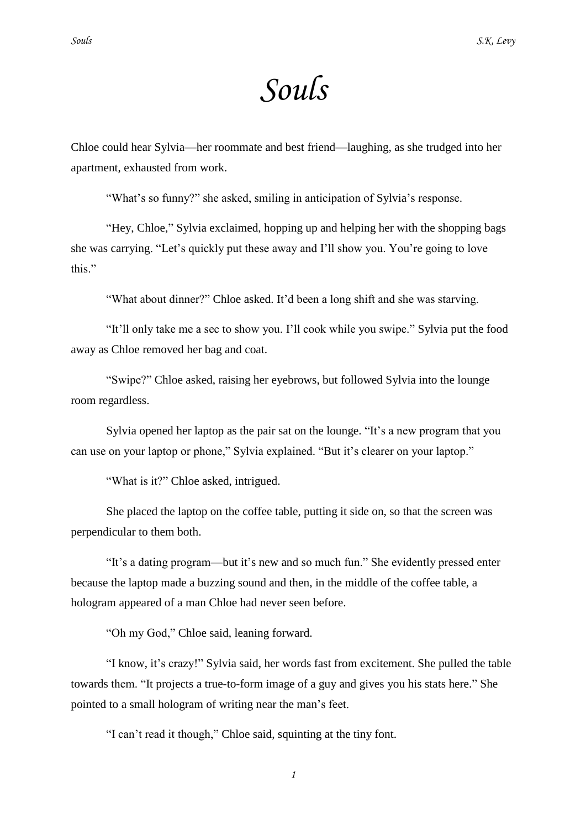## *Souls*

Chloe could hear Sylvia—her roommate and best friend—laughing, as she trudged into her apartment, exhausted from work.

"What's so funny?" she asked, smiling in anticipation of Sylvia's response.

"Hey, Chloe," Sylvia exclaimed, hopping up and helping her with the shopping bags she was carrying. "Let's quickly put these away and I'll show you. You're going to love this"

"What about dinner?" Chloe asked. It"d been a long shift and she was starving.

"It"ll only take me a sec to show you. I"ll cook while you swipe." Sylvia put the food away as Chloe removed her bag and coat.

"Swipe?" Chloe asked, raising her eyebrows, but followed Sylvia into the lounge room regardless.

Sylvia opened her laptop as the pair sat on the lounge. "It's a new program that you can use on your laptop or phone," Sylvia explained. "But it's clearer on your laptop."

"What is it?" Chloe asked, intrigued.

She placed the laptop on the coffee table, putting it side on, so that the screen was perpendicular to them both.

"It"s a dating program—but it"s new and so much fun." She evidently pressed enter because the laptop made a buzzing sound and then, in the middle of the coffee table, a hologram appeared of a man Chloe had never seen before.

"Oh my God," Chloe said, leaning forward.

"I know, it"s crazy!" Sylvia said, her words fast from excitement. She pulled the table towards them. "It projects a true-to-form image of a guy and gives you his stats here." She pointed to a small hologram of writing near the man"s feet.

"I can"t read it though," Chloe said, squinting at the tiny font.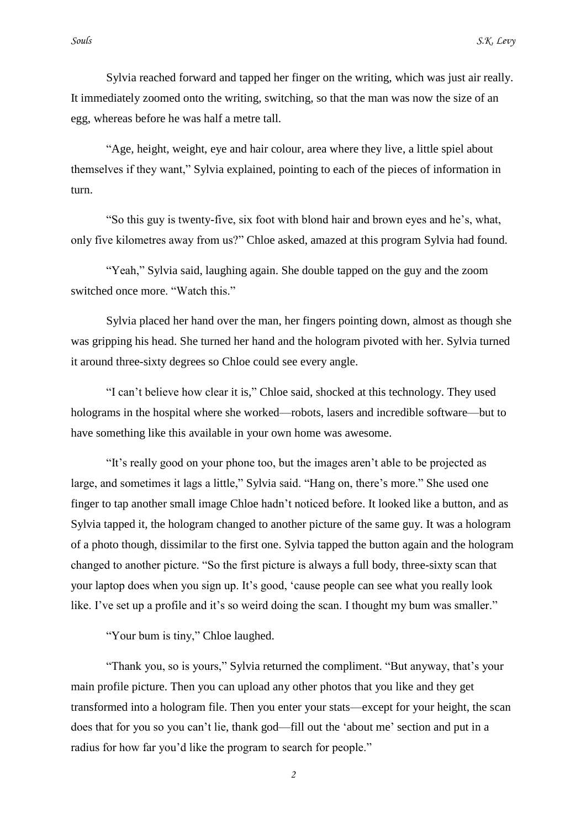Sylvia reached forward and tapped her finger on the writing, which was just air really. It immediately zoomed onto the writing, switching, so that the man was now the size of an egg, whereas before he was half a metre tall.

"Age, height, weight, eye and hair colour, area where they live, a little spiel about themselves if they want," Sylvia explained, pointing to each of the pieces of information in turn.

"So this guy is twenty-five, six foot with blond hair and brown eyes and he"s, what, only five kilometres away from us?" Chloe asked, amazed at this program Sylvia had found.

"Yeah," Sylvia said, laughing again. She double tapped on the guy and the zoom switched once more. "Watch this."

Sylvia placed her hand over the man, her fingers pointing down, almost as though she was gripping his head. She turned her hand and the hologram pivoted with her. Sylvia turned it around three-sixty degrees so Chloe could see every angle.

"I can"t believe how clear it is," Chloe said, shocked at this technology. They used holograms in the hospital where she worked—robots, lasers and incredible software—but to have something like this available in your own home was awesome.

"It"s really good on your phone too, but the images aren"t able to be projected as large, and sometimes it lags a little," Sylvia said. "Hang on, there"s more." She used one finger to tap another small image Chloe hadn"t noticed before. It looked like a button, and as Sylvia tapped it, the hologram changed to another picture of the same guy. It was a hologram of a photo though, dissimilar to the first one. Sylvia tapped the button again and the hologram changed to another picture. "So the first picture is always a full body, three-sixty scan that your laptop does when you sign up. It's good, 'cause people can see what you really look like. I've set up a profile and it's so weird doing the scan. I thought my bum was smaller."

"Your bum is tiny," Chloe laughed.

"Thank you, so is yours," Sylvia returned the compliment. "But anyway, that"s your main profile picture. Then you can upload any other photos that you like and they get transformed into a hologram file. Then you enter your stats—except for your height, the scan does that for you so you can't lie, thank god—fill out the 'about me' section and put in a radius for how far you'd like the program to search for people."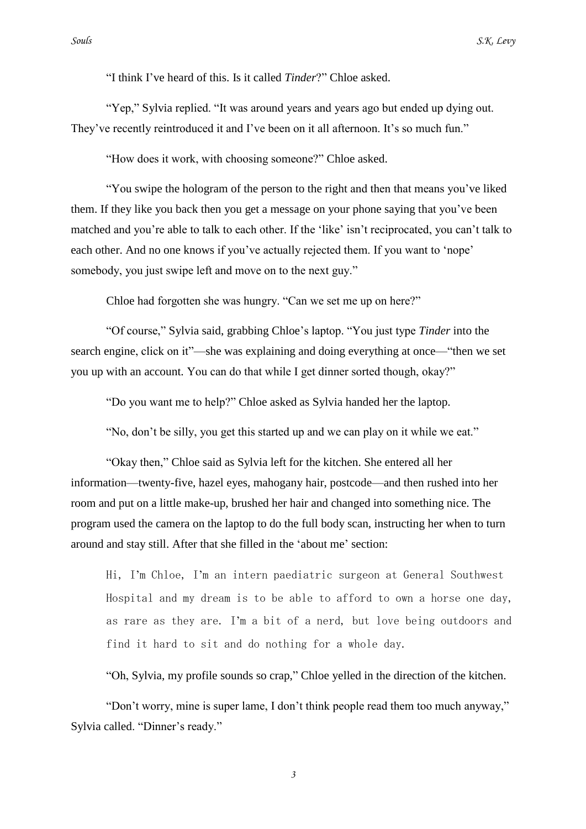"I think I"ve heard of this. Is it called *Tinder*?" Chloe asked.

"Yep," Sylvia replied. "It was around years and years ago but ended up dying out. They've recently reintroduced it and I've been on it all afternoon. It's so much fun."

"How does it work, with choosing someone?" Chloe asked.

"You swipe the hologram of the person to the right and then that means you"ve liked them. If they like you back then you get a message on your phone saying that you"ve been matched and you're able to talk to each other. If the 'like' isn't reciprocated, you can't talk to each other. And no one knows if you've actually rejected them. If you want to 'nope' somebody, you just swipe left and move on to the next guy."

Chloe had forgotten she was hungry. "Can we set me up on here?"

"Of course," Sylvia said, grabbing Chloe"s laptop. "You just type *Tinder* into the search engine, click on it"—she was explaining and doing everything at once—"then we set you up with an account. You can do that while I get dinner sorted though, okay?"

"Do you want me to help?" Chloe asked as Sylvia handed her the laptop.

"No, don"t be silly, you get this started up and we can play on it while we eat."

"Okay then," Chloe said as Sylvia left for the kitchen. She entered all her information—twenty-five, hazel eyes, mahogany hair, postcode—and then rushed into her room and put on a little make-up, brushed her hair and changed into something nice. The program used the camera on the laptop to do the full body scan, instructing her when to turn around and stay still. After that she filled in the "about me" section:

Hi, I"m Chloe, I"m an intern paediatric surgeon at General Southwest Hospital and my dream is to be able to afford to own a horse one day, as rare as they are. I"m a bit of a nerd, but love being outdoors and find it hard to sit and do nothing for a whole day.

"Oh, Sylvia, my profile sounds so crap," Chloe yelled in the direction of the kitchen.

"Don"t worry, mine is super lame, I don"t think people read them too much anyway," Sylvia called. "Dinner's ready."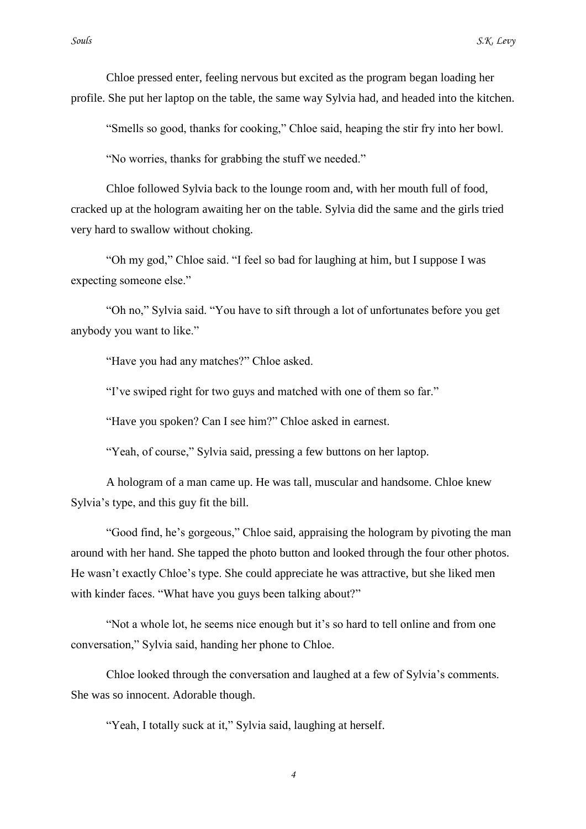Chloe pressed enter, feeling nervous but excited as the program began loading her profile. She put her laptop on the table, the same way Sylvia had, and headed into the kitchen.

"Smells so good, thanks for cooking," Chloe said, heaping the stir fry into her bowl.

"No worries, thanks for grabbing the stuff we needed."

Chloe followed Sylvia back to the lounge room and, with her mouth full of food, cracked up at the hologram awaiting her on the table. Sylvia did the same and the girls tried very hard to swallow without choking.

"Oh my god," Chloe said. "I feel so bad for laughing at him, but I suppose I was expecting someone else."

"Oh no," Sylvia said. "You have to sift through a lot of unfortunates before you get anybody you want to like."

"Have you had any matches?" Chloe asked.

"I"ve swiped right for two guys and matched with one of them so far."

"Have you spoken? Can I see him?" Chloe asked in earnest.

"Yeah, of course," Sylvia said, pressing a few buttons on her laptop.

A hologram of a man came up. He was tall, muscular and handsome. Chloe knew Sylvia"s type, and this guy fit the bill.

"Good find, he"s gorgeous," Chloe said, appraising the hologram by pivoting the man around with her hand. She tapped the photo button and looked through the four other photos. He wasn"t exactly Chloe"s type. She could appreciate he was attractive, but she liked men with kinder faces. "What have you guys been talking about?"

"Not a whole lot, he seems nice enough but it's so hard to tell online and from one conversation," Sylvia said, handing her phone to Chloe.

Chloe looked through the conversation and laughed at a few of Sylvia"s comments. She was so innocent. Adorable though.

"Yeah, I totally suck at it," Sylvia said, laughing at herself.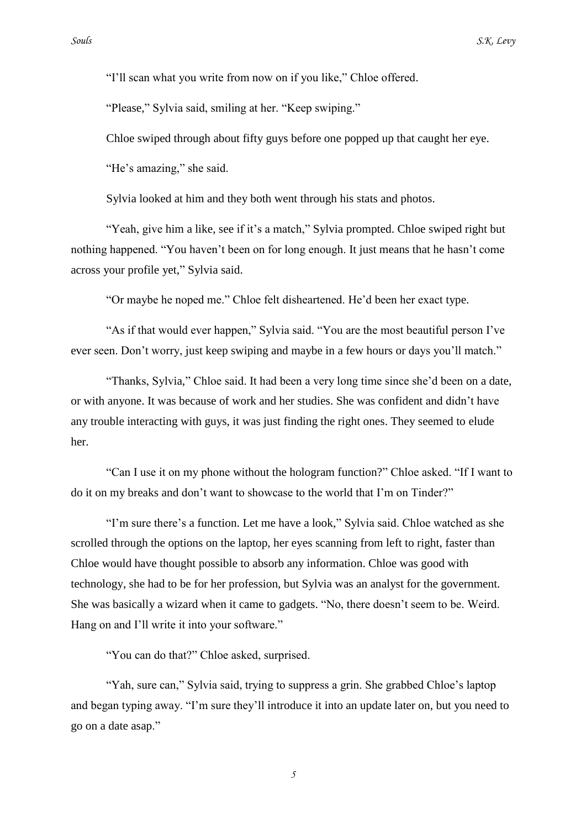"I"ll scan what you write from now on if you like," Chloe offered.

"Please," Sylvia said, smiling at her. "Keep swiping."

Chloe swiped through about fifty guys before one popped up that caught her eye.

"He's amazing," she said.

Sylvia looked at him and they both went through his stats and photos.

"Yeah, give him a like, see if it's a match," Sylvia prompted. Chloe swiped right but nothing happened. "You haven't been on for long enough. It just means that he hasn't come across your profile yet," Sylvia said.

"Or maybe he noped me." Chloe felt disheartened. He"d been her exact type.

"As if that would ever happen," Sylvia said. "You are the most beautiful person I"ve ever seen. Don"t worry, just keep swiping and maybe in a few hours or days you"ll match."

"Thanks, Sylvia," Chloe said. It had been a very long time since she"d been on a date, or with anyone. It was because of work and her studies. She was confident and didn"t have any trouble interacting with guys, it was just finding the right ones. They seemed to elude her.

"Can I use it on my phone without the hologram function?" Chloe asked. "If I want to do it on my breaks and don"t want to showcase to the world that I"m on Tinder?"

"I"m sure there"s a function. Let me have a look," Sylvia said. Chloe watched as she scrolled through the options on the laptop, her eyes scanning from left to right, faster than Chloe would have thought possible to absorb any information. Chloe was good with technology, she had to be for her profession, but Sylvia was an analyst for the government. She was basically a wizard when it came to gadgets. "No, there doesn"t seem to be. Weird. Hang on and I'll write it into your software."

"You can do that?" Chloe asked, surprised.

"Yah, sure can," Sylvia said, trying to suppress a grin. She grabbed Chloe"s laptop and began typing away. "I"m sure they"ll introduce it into an update later on, but you need to go on a date asap."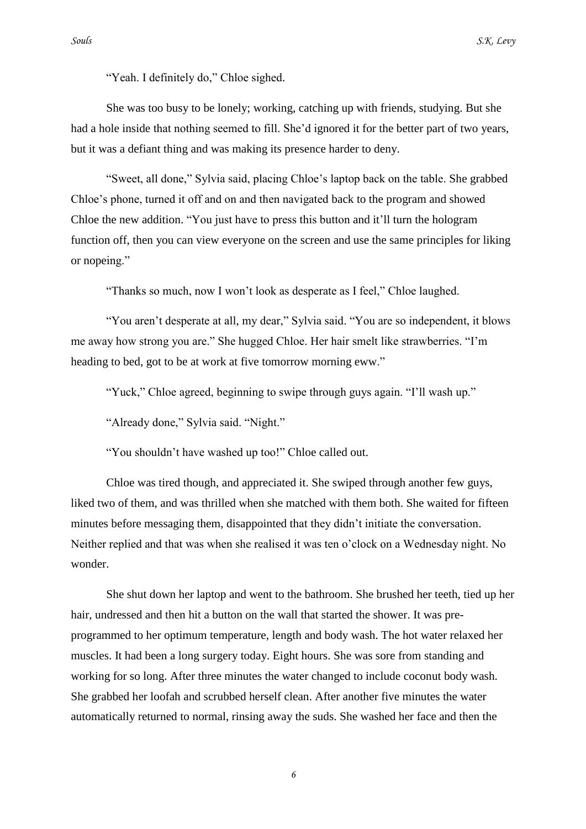"Yeah. I definitely do," Chloe sighed.

She was too busy to be lonely; working, catching up with friends, studying. But she had a hole inside that nothing seemed to fill. She"d ignored it for the better part of two years, but it was a defiant thing and was making its presence harder to deny.

"Sweet, all done," Sylvia said, placing Chloe"s laptop back on the table. She grabbed Chloe"s phone, turned it off and on and then navigated back to the program and showed Chloe the new addition. "You just have to press this button and it"ll turn the hologram function off, then you can view everyone on the screen and use the same principles for liking or nopeing."

"Thanks so much, now I won"t look as desperate as I feel," Chloe laughed.

"You aren"t desperate at all, my dear," Sylvia said. "You are so independent, it blows me away how strong you are." She hugged Chloe. Her hair smelt like strawberries. "I"m heading to bed, got to be at work at five tomorrow morning eww."

"Yuck," Chloe agreed, beginning to swipe through guys again. "I"ll wash up."

"Already done," Sylvia said. "Night."

"You shouldn"t have washed up too!" Chloe called out.

Chloe was tired though, and appreciated it. She swiped through another few guys, liked two of them, and was thrilled when she matched with them both. She waited for fifteen minutes before messaging them, disappointed that they didn"t initiate the conversation. Neither replied and that was when she realised it was ten o"clock on a Wednesday night. No wonder.

She shut down her laptop and went to the bathroom. She brushed her teeth, tied up her hair, undressed and then hit a button on the wall that started the shower. It was preprogrammed to her optimum temperature, length and body wash. The hot water relaxed her muscles. It had been a long surgery today. Eight hours. She was sore from standing and working for so long. After three minutes the water changed to include coconut body wash. She grabbed her loofah and scrubbed herself clean. After another five minutes the water automatically returned to normal, rinsing away the suds. She washed her face and then the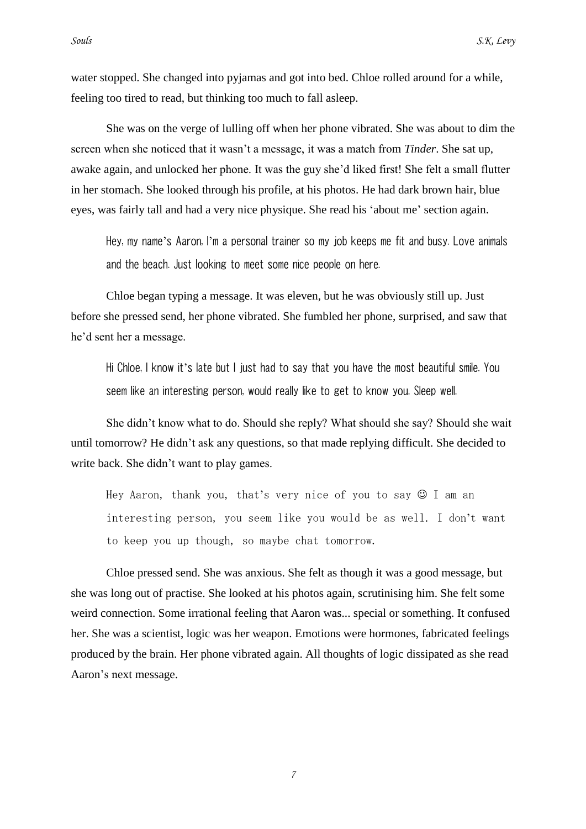water stopped. She changed into pyjamas and got into bed. Chloe rolled around for a while, feeling too tired to read, but thinking too much to fall asleep.

She was on the verge of lulling off when her phone vibrated. She was about to dim the screen when she noticed that it wasn"t a message, it was a match from *Tinder*. She sat up, awake again, and unlocked her phone. It was the guy she"d liked first! She felt a small flutter in her stomach. She looked through his profile, at his photos. He had dark brown hair, blue eyes, was fairly tall and had a very nice physique. She read his "about me" section again.

Hey, my name's Aaron, I'm a personal trainer so my job keeps me fit and busy. Love animals and the beach. Just looking to meet some nice people on here.

Chloe began typing a message. It was eleven, but he was obviously still up. Just before she pressed send, her phone vibrated. She fumbled her phone, surprised, and saw that he"d sent her a message.

Hi Chloe, I know it's late but I just had to say that you have the most beautiful smile. You seem like an interesting person, would really like to get to know you. Sleep well.

She didn"t know what to do. Should she reply? What should she say? Should she wait until tomorrow? He didn"t ask any questions, so that made replying difficult. She decided to write back. She didn"t want to play games.

Hey Aaron, thank you, that's very nice of you to say  $\odot$  I am an interesting person, you seem like you would be as well. I don"t want to keep you up though, so maybe chat tomorrow.

Chloe pressed send. She was anxious. She felt as though it was a good message, but she was long out of practise. She looked at his photos again, scrutinising him. She felt some weird connection. Some irrational feeling that Aaron was... special or something. It confused her. She was a scientist, logic was her weapon. Emotions were hormones, fabricated feelings produced by the brain. Her phone vibrated again. All thoughts of logic dissipated as she read Aaron"s next message.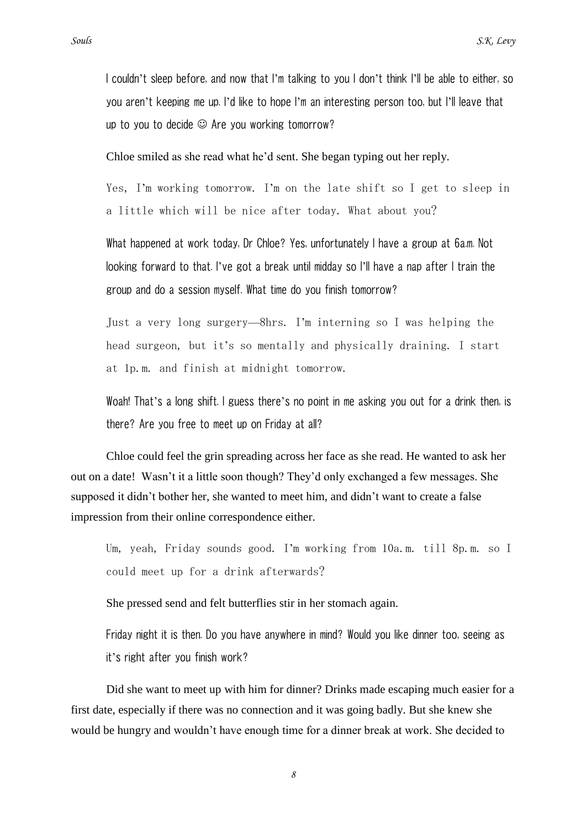you aren"t keeping me up. I"d like to hope I"m an interesting person too, but I"ll leave that up to you to decide  $\odot$  Are you working tomorrow?

Chloe smiled as she read what he"d sent. She began typing out her reply.

Yes, I'm working tomorrow. I'm on the late shift so I get to sleep in a little which will be nice after today. What about you?

What happened at work today, Dr Chloe? Yes, unfortunately I have a group at 6a.m. Not looking forward to that. I"ve got a break until midday so I"ll have a nap after I train the group and do a session myself. What time do you finish tomorrow?

Just a very long surgery—8hrs. I"m interning so I was helping the head surgeon, but it's so mentally and physically draining. I start at 1p.m. and finish at midnight tomorrow.

Woah! That"s a long shift. I guess there"s no point in me asking you out for a drink then, is there? Are you free to meet up on Friday at all?

Chloe could feel the grin spreading across her face as she read. He wanted to ask her out on a date! Wasn"t it a little soon though? They"d only exchanged a few messages. She supposed it didn"t bother her, she wanted to meet him, and didn"t want to create a false impression from their online correspondence either.

Um, yeah, Friday sounds good. I"m working from 10a.m. till 8p.m. so I could meet up for a drink afterwards?

She pressed send and felt butterflies stir in her stomach again.

Friday night it is then. Do you have anywhere in mind? Would you like dinner too, seeing as it"s right after you finish work?

Did she want to meet up with him for dinner? Drinks made escaping much easier for a first date, especially if there was no connection and it was going badly. But she knew she would be hungry and wouldn"t have enough time for a dinner break at work. She decided to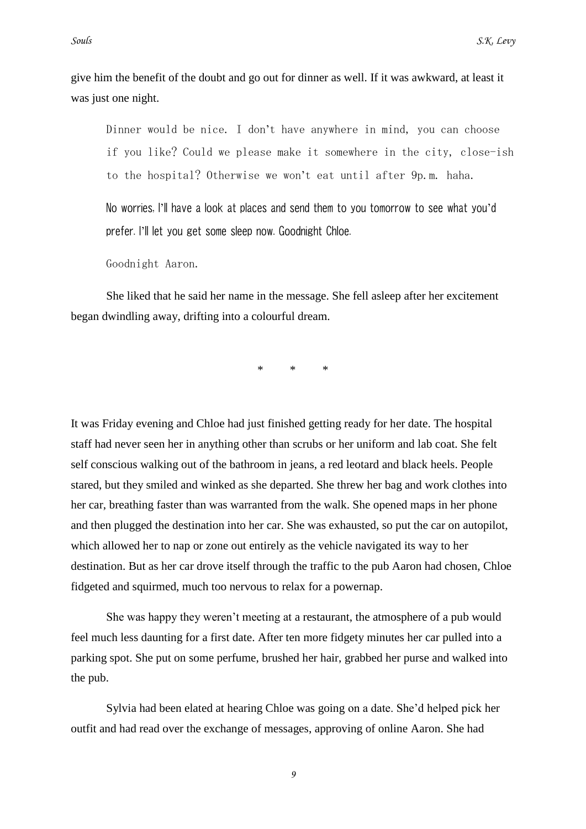give him the benefit of the doubt and go out for dinner as well. If it was awkward, at least it was just one night.

Dinner would be nice. I don"t have anywhere in mind, you can choose if you like? Could we please make it somewhere in the city, close-ish to the hospital? Otherwise we won"t eat until after 9p.m. haha.

No worries, I"ll have a look at places and send them to you tomorrow to see what you"d prefer. I"ll let you get some sleep now. Goodnight Chloe.

Goodnight Aaron.

She liked that he said her name in the message. She fell asleep after her excitement began dwindling away, drifting into a colourful dream.

 $*$   $*$ 

It was Friday evening and Chloe had just finished getting ready for her date. The hospital staff had never seen her in anything other than scrubs or her uniform and lab coat. She felt self conscious walking out of the bathroom in jeans, a red leotard and black heels. People stared, but they smiled and winked as she departed. She threw her bag and work clothes into her car, breathing faster than was warranted from the walk. She opened maps in her phone and then plugged the destination into her car. She was exhausted, so put the car on autopilot, which allowed her to nap or zone out entirely as the vehicle navigated its way to her destination. But as her car drove itself through the traffic to the pub Aaron had chosen, Chloe fidgeted and squirmed, much too nervous to relax for a powernap.

She was happy they weren"t meeting at a restaurant, the atmosphere of a pub would feel much less daunting for a first date. After ten more fidgety minutes her car pulled into a parking spot. She put on some perfume, brushed her hair, grabbed her purse and walked into the pub.

Sylvia had been elated at hearing Chloe was going on a date. She"d helped pick her outfit and had read over the exchange of messages, approving of online Aaron. She had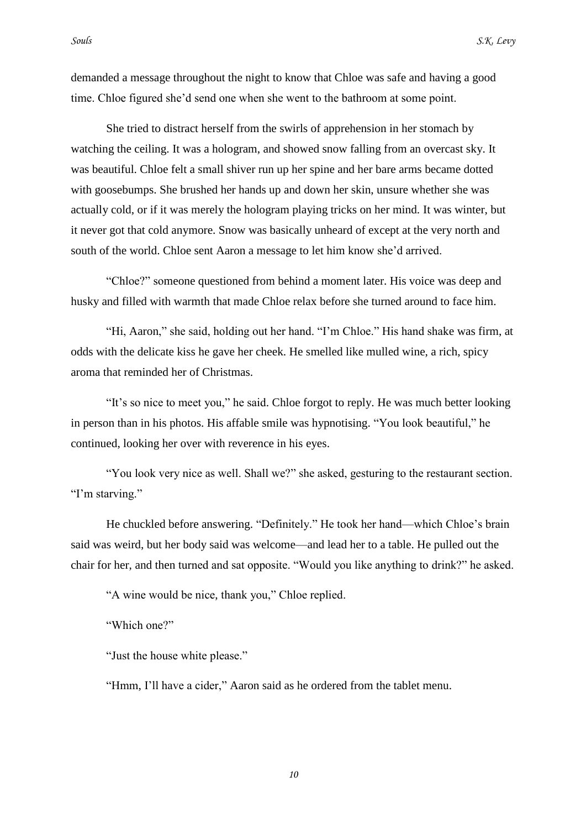demanded a message throughout the night to know that Chloe was safe and having a good time. Chloe figured she"d send one when she went to the bathroom at some point.

She tried to distract herself from the swirls of apprehension in her stomach by watching the ceiling. It was a hologram, and showed snow falling from an overcast sky. It was beautiful. Chloe felt a small shiver run up her spine and her bare arms became dotted with goosebumps. She brushed her hands up and down her skin, unsure whether she was actually cold, or if it was merely the hologram playing tricks on her mind. It was winter, but it never got that cold anymore. Snow was basically unheard of except at the very north and south of the world. Chloe sent Aaron a message to let him know she"d arrived.

"Chloe?" someone questioned from behind a moment later. His voice was deep and husky and filled with warmth that made Chloe relax before she turned around to face him.

"Hi, Aaron," she said, holding out her hand. "I"m Chloe." His hand shake was firm, at odds with the delicate kiss he gave her cheek. He smelled like mulled wine, a rich, spicy aroma that reminded her of Christmas.

"It"s so nice to meet you," he said. Chloe forgot to reply. He was much better looking in person than in his photos. His affable smile was hypnotising. "You look beautiful," he continued, looking her over with reverence in his eyes.

"You look very nice as well. Shall we?" she asked, gesturing to the restaurant section. "I'm starving."

He chuckled before answering. "Definitely." He took her hand—which Chloe"s brain said was weird, but her body said was welcome—and lead her to a table. He pulled out the chair for her, and then turned and sat opposite. "Would you like anything to drink?" he asked.

"A wine would be nice, thank you," Chloe replied.

"Which one?"

"Just the house white please."

"Hmm, I"ll have a cider," Aaron said as he ordered from the tablet menu.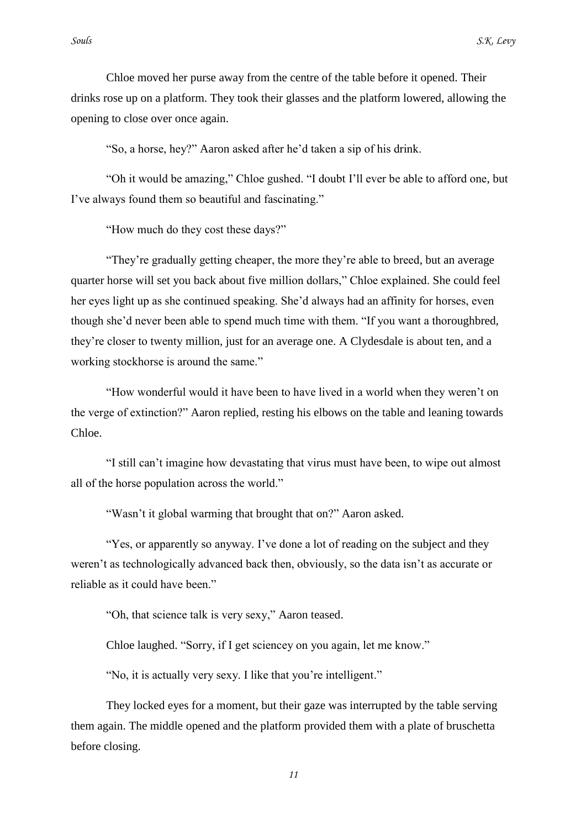Chloe moved her purse away from the centre of the table before it opened. Their drinks rose up on a platform. They took their glasses and the platform lowered, allowing the opening to close over once again.

"So, a horse, hey?" Aaron asked after he"d taken a sip of his drink.

"Oh it would be amazing," Chloe gushed. "I doubt I"ll ever be able to afford one, but I"ve always found them so beautiful and fascinating."

"How much do they cost these days?"

"They"re gradually getting cheaper, the more they"re able to breed, but an average quarter horse will set you back about five million dollars," Chloe explained. She could feel her eyes light up as she continued speaking. She"d always had an affinity for horses, even though she"d never been able to spend much time with them. "If you want a thoroughbred, they"re closer to twenty million, just for an average one. A Clydesdale is about ten, and a working stockhorse is around the same."

"How wonderful would it have been to have lived in a world when they weren"t on the verge of extinction?" Aaron replied, resting his elbows on the table and leaning towards Chloe.

"I still can"t imagine how devastating that virus must have been, to wipe out almost all of the horse population across the world."

"Wasn"t it global warming that brought that on?" Aaron asked.

"Yes, or apparently so anyway. I've done a lot of reading on the subject and they weren't as technologically advanced back then, obviously, so the data isn't as accurate or reliable as it could have been."

"Oh, that science talk is very sexy," Aaron teased.

Chloe laughed. "Sorry, if I get sciencey on you again, let me know."

"No, it is actually very sexy. I like that you're intelligent."

They locked eyes for a moment, but their gaze was interrupted by the table serving them again. The middle opened and the platform provided them with a plate of bruschetta before closing.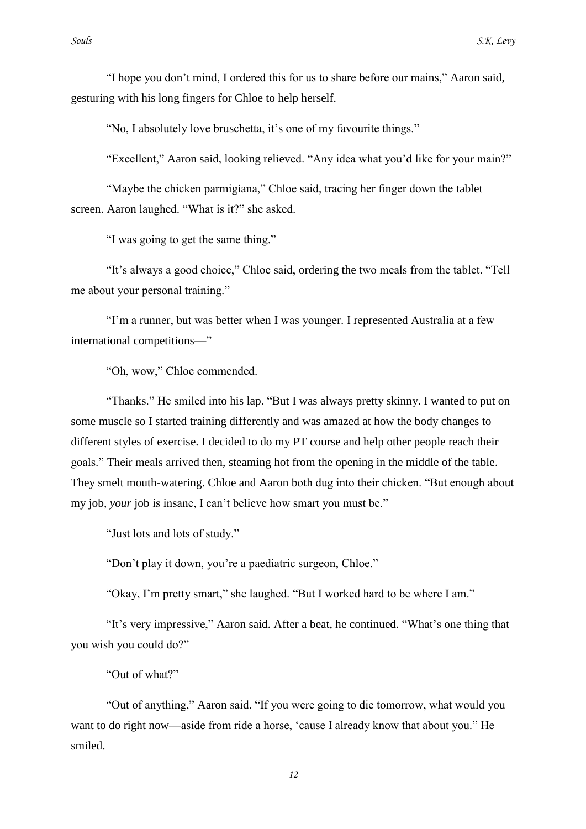"I hope you don"t mind, I ordered this for us to share before our mains," Aaron said, gesturing with his long fingers for Chloe to help herself.

"No, I absolutely love bruschetta, it's one of my favourite things."

"Excellent," Aaron said, looking relieved. "Any idea what you"d like for your main?"

"Maybe the chicken parmigiana," Chloe said, tracing her finger down the tablet screen. Aaron laughed. "What is it?" she asked.

"I was going to get the same thing."

"It"s always a good choice," Chloe said, ordering the two meals from the tablet. "Tell me about your personal training."

"I"m a runner, but was better when I was younger. I represented Australia at a few international competitions—"

"Oh, wow," Chloe commended.

"Thanks." He smiled into his lap. "But I was always pretty skinny. I wanted to put on some muscle so I started training differently and was amazed at how the body changes to different styles of exercise. I decided to do my PT course and help other people reach their goals." Their meals arrived then, steaming hot from the opening in the middle of the table. They smelt mouth-watering. Chloe and Aaron both dug into their chicken. "But enough about my job, *your* job is insane, I can't believe how smart you must be."

"Just lots and lots of study."

"Don"t play it down, you"re a paediatric surgeon, Chloe."

"Okay, I"m pretty smart," she laughed. "But I worked hard to be where I am."

"It"s very impressive," Aaron said. After a beat, he continued. "What"s one thing that you wish you could do?"

"Out of what?"

"Out of anything," Aaron said. "If you were going to die tomorrow, what would you want to do right now—aside from ride a horse, 'cause I already know that about you." He smiled.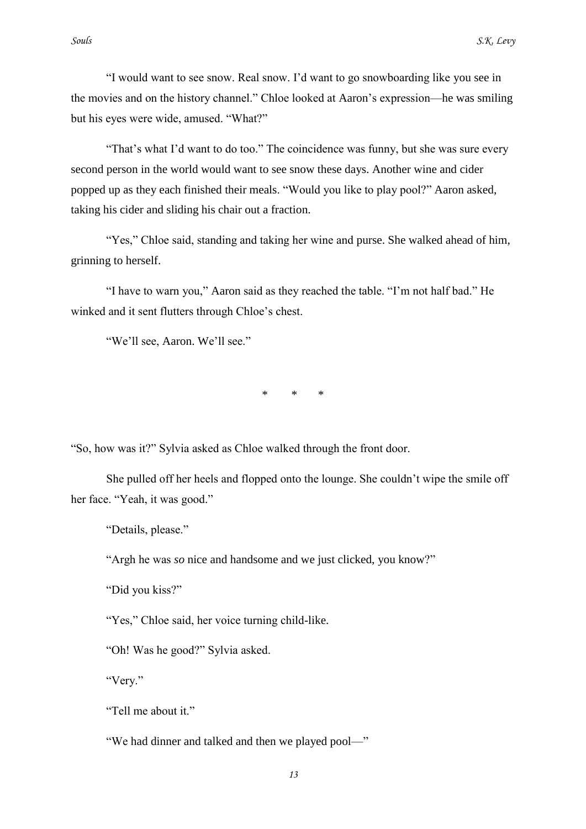"I would want to see snow. Real snow. I"d want to go snowboarding like you see in the movies and on the history channel." Chloe looked at Aaron"s expression—he was smiling but his eyes were wide, amused. "What?"

"That's what I'd want to do too." The coincidence was funny, but she was sure every second person in the world would want to see snow these days. Another wine and cider popped up as they each finished their meals. "Would you like to play pool?" Aaron asked, taking his cider and sliding his chair out a fraction.

"Yes," Chloe said, standing and taking her wine and purse. She walked ahead of him, grinning to herself.

"I have to warn you," Aaron said as they reached the table. "I"m not half bad." He winked and it sent flutters through Chloe's chest.

"We"ll see, Aaron. We"ll see."

 $*$  \*

"So, how was it?" Sylvia asked as Chloe walked through the front door.

She pulled off her heels and flopped onto the lounge. She couldn"t wipe the smile off her face. "Yeah, it was good."

"Details, please."

"Argh he was *so* nice and handsome and we just clicked, you know?"

"Did you kiss?"

"Yes," Chloe said, her voice turning child-like.

"Oh! Was he good?" Sylvia asked.

"Very."

"Tell me about it."

"We had dinner and talked and then we played pool—"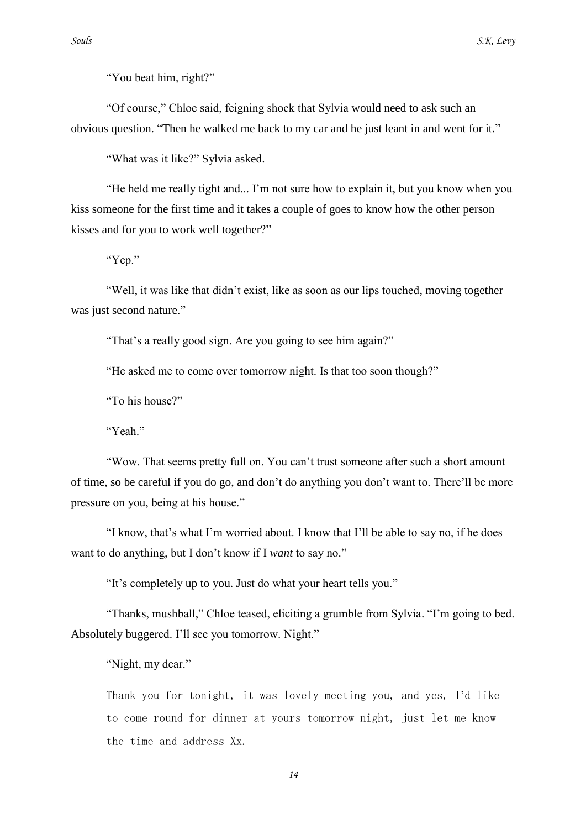"You beat him, right?"

"Of course," Chloe said, feigning shock that Sylvia would need to ask such an obvious question. "Then he walked me back to my car and he just leant in and went for it."

"What was it like?" Sylvia asked.

"He held me really tight and... I"m not sure how to explain it, but you know when you kiss someone for the first time and it takes a couple of goes to know how the other person kisses and for you to work well together?"

"Yep."

"Well, it was like that didn"t exist, like as soon as our lips touched, moving together was just second nature."

"That's a really good sign. Are you going to see him again?"

"He asked me to come over tomorrow night. Is that too soon though?"

"To his house?"

"Yeah"

"Wow. That seems pretty full on. You can"t trust someone after such a short amount of time, so be careful if you do go, and don"t do anything you don"t want to. There"ll be more pressure on you, being at his house."

"I know, that"s what I"m worried about. I know that I"ll be able to say no, if he does want to do anything, but I don"t know if I *want* to say no."

"It"s completely up to you. Just do what your heart tells you."

"Thanks, mushball," Chloe teased, eliciting a grumble from Sylvia. "I"m going to bed. Absolutely buggered. I'll see you tomorrow. Night."

"Night, my dear."

Thank you for tonight, it was lovely meeting you, and yes, I"d like to come round for dinner at yours tomorrow night, just let me know the time and address Xx.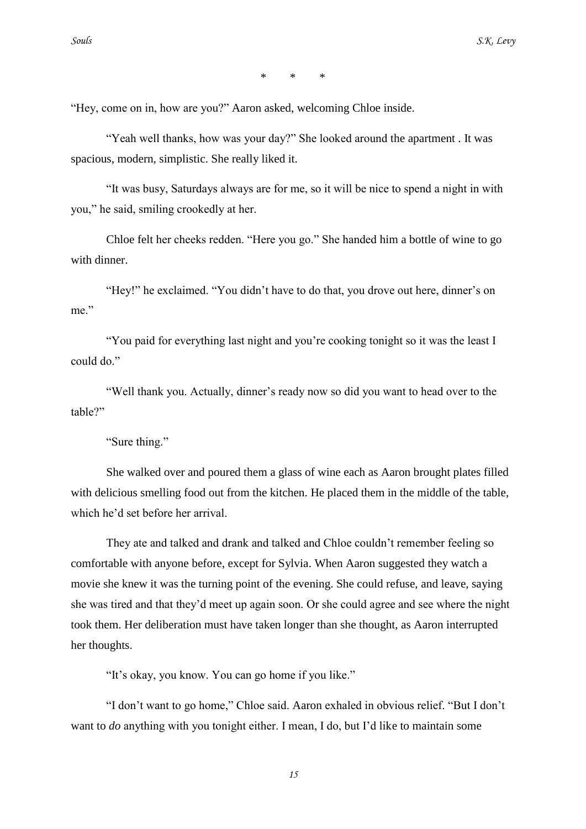\* \* \*

"Hey, come on in, how are you?" Aaron asked, welcoming Chloe inside.

"Yeah well thanks, how was your day?" She looked around the apartment . It was spacious, modern, simplistic. She really liked it.

"It was busy, Saturdays always are for me, so it will be nice to spend a night in with you," he said, smiling crookedly at her.

Chloe felt her cheeks redden. "Here you go." She handed him a bottle of wine to go with dinner.

"Hey!" he exclaimed. "You didn"t have to do that, you drove out here, dinner"s on me"

"You paid for everything last night and you"re cooking tonight so it was the least I could do."

"Well thank you. Actually, dinner"s ready now so did you want to head over to the table?"

"Sure thing."

She walked over and poured them a glass of wine each as Aaron brought plates filled with delicious smelling food out from the kitchen. He placed them in the middle of the table, which he"d set before her arrival.

They ate and talked and drank and talked and Chloe couldn"t remember feeling so comfortable with anyone before, except for Sylvia. When Aaron suggested they watch a movie she knew it was the turning point of the evening. She could refuse, and leave, saying she was tired and that they"d meet up again soon. Or she could agree and see where the night took them. Her deliberation must have taken longer than she thought, as Aaron interrupted her thoughts.

"It"s okay, you know. You can go home if you like."

"I don"t want to go home," Chloe said. Aaron exhaled in obvious relief. "But I don"t want to *do* anything with you tonight either. I mean, I do, but I'd like to maintain some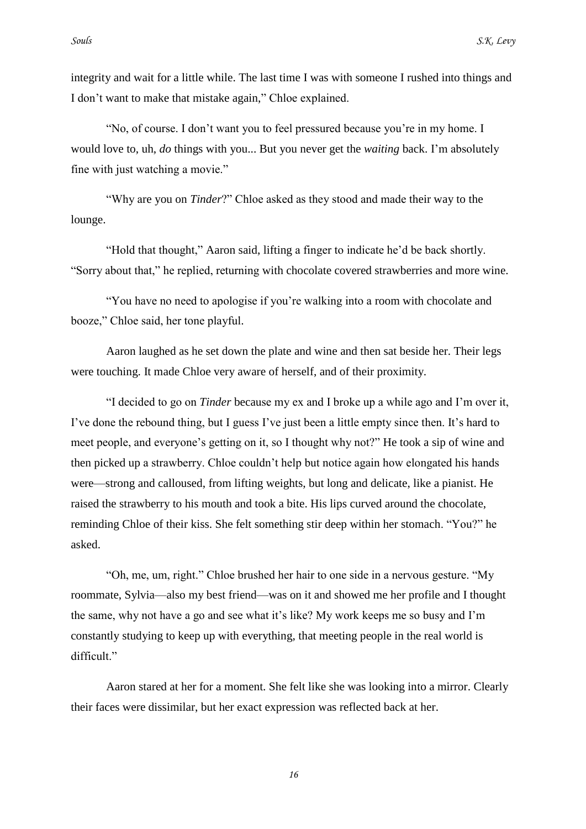I don"t want to make that mistake again," Chloe explained.

"No, of course. I don"t want you to feel pressured because you"re in my home. I would love to, uh, *do* things with you... But you never get the *waiting* back. I"m absolutely fine with just watching a movie."

"Why are you on *Tinder*?" Chloe asked as they stood and made their way to the lounge.

"Hold that thought," Aaron said, lifting a finger to indicate he"d be back shortly. "Sorry about that," he replied, returning with chocolate covered strawberries and more wine.

"You have no need to apologise if you"re walking into a room with chocolate and booze," Chloe said, her tone playful.

Aaron laughed as he set down the plate and wine and then sat beside her. Their legs were touching. It made Chloe very aware of herself, and of their proximity.

"I decided to go on *Tinder* because my ex and I broke up a while ago and I"m over it, I've done the rebound thing, but I guess I've just been a little empty since then. It's hard to meet people, and everyone"s getting on it, so I thought why not?" He took a sip of wine and then picked up a strawberry. Chloe couldn"t help but notice again how elongated his hands were—strong and calloused, from lifting weights, but long and delicate, like a pianist. He raised the strawberry to his mouth and took a bite. His lips curved around the chocolate, reminding Chloe of their kiss. She felt something stir deep within her stomach. "You?" he asked.

"Oh, me, um, right." Chloe brushed her hair to one side in a nervous gesture. "My roommate, Sylvia—also my best friend—was on it and showed me her profile and I thought the same, why not have a go and see what it"s like? My work keeps me so busy and I"m constantly studying to keep up with everything, that meeting people in the real world is difficult."

Aaron stared at her for a moment. She felt like she was looking into a mirror. Clearly their faces were dissimilar, but her exact expression was reflected back at her.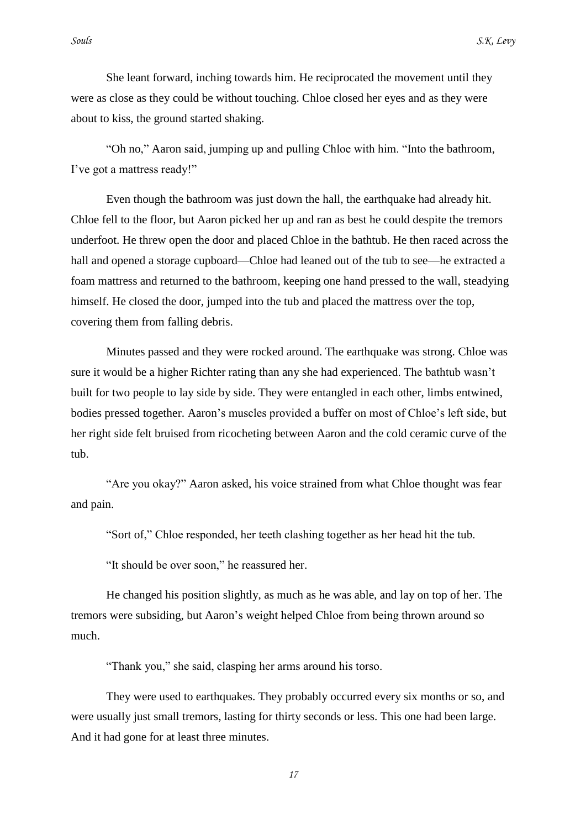She leant forward, inching towards him. He reciprocated the movement until they were as close as they could be without touching. Chloe closed her eyes and as they were about to kiss, the ground started shaking.

"Oh no," Aaron said, jumping up and pulling Chloe with him. "Into the bathroom, I've got a mattress ready!"

Even though the bathroom was just down the hall, the earthquake had already hit. Chloe fell to the floor, but Aaron picked her up and ran as best he could despite the tremors underfoot. He threw open the door and placed Chloe in the bathtub. He then raced across the hall and opened a storage cupboard—Chloe had leaned out of the tub to see—he extracted a foam mattress and returned to the bathroom, keeping one hand pressed to the wall, steadying himself. He closed the door, jumped into the tub and placed the mattress over the top, covering them from falling debris.

Minutes passed and they were rocked around. The earthquake was strong. Chloe was sure it would be a higher Richter rating than any she had experienced. The bathtub wasn"t built for two people to lay side by side. They were entangled in each other, limbs entwined, bodies pressed together. Aaron"s muscles provided a buffer on most of Chloe"s left side, but her right side felt bruised from ricocheting between Aaron and the cold ceramic curve of the tub.

"Are you okay?" Aaron asked, his voice strained from what Chloe thought was fear and pain.

"Sort of," Chloe responded, her teeth clashing together as her head hit the tub.

"It should be over soon," he reassured her.

He changed his position slightly, as much as he was able, and lay on top of her. The tremors were subsiding, but Aaron"s weight helped Chloe from being thrown around so much.

"Thank you," she said, clasping her arms around his torso.

They were used to earthquakes. They probably occurred every six months or so, and were usually just small tremors, lasting for thirty seconds or less. This one had been large. And it had gone for at least three minutes.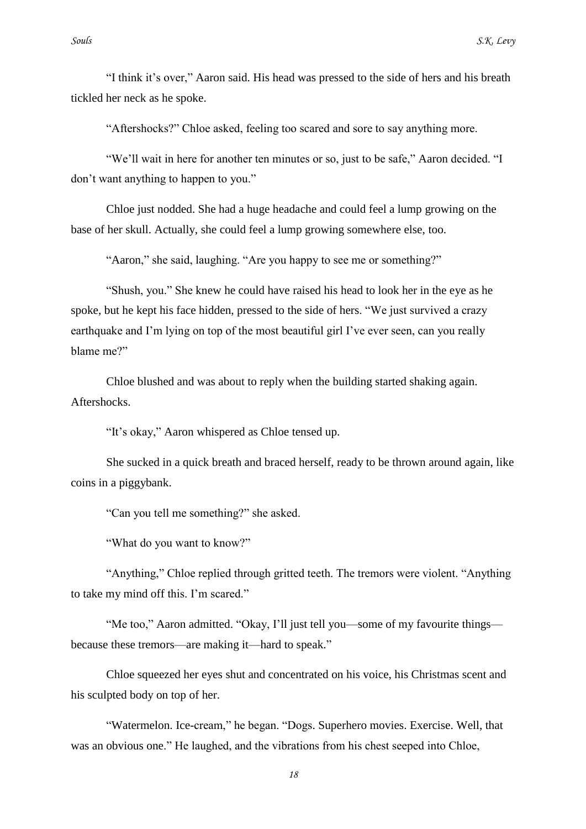"I think it"s over," Aaron said. His head was pressed to the side of hers and his breath tickled her neck as he spoke.

"Aftershocks?" Chloe asked, feeling too scared and sore to say anything more.

"We"ll wait in here for another ten minutes or so, just to be safe," Aaron decided. "I don"t want anything to happen to you."

Chloe just nodded. She had a huge headache and could feel a lump growing on the base of her skull. Actually, she could feel a lump growing somewhere else, too.

"Aaron," she said, laughing. "Are you happy to see me or something?"

"Shush, you." She knew he could have raised his head to look her in the eye as he spoke, but he kept his face hidden, pressed to the side of hers. "We just survived a crazy earthquake and I'm lying on top of the most beautiful girl I've ever seen, can you really blame me?"

Chloe blushed and was about to reply when the building started shaking again. Aftershocks.

"It's okay," Aaron whispered as Chloe tensed up.

She sucked in a quick breath and braced herself, ready to be thrown around again, like coins in a piggybank.

"Can you tell me something?" she asked.

"What do you want to know?"

"Anything," Chloe replied through gritted teeth. The tremors were violent. "Anything to take my mind off this. I"m scared."

"Me too," Aaron admitted. "Okay, I"ll just tell you—some of my favourite things because these tremors—are making it—hard to speak."

Chloe squeezed her eyes shut and concentrated on his voice, his Christmas scent and his sculpted body on top of her.

"Watermelon. Ice-cream," he began. "Dogs. Superhero movies. Exercise. Well, that was an obvious one." He laughed, and the vibrations from his chest seeped into Chloe,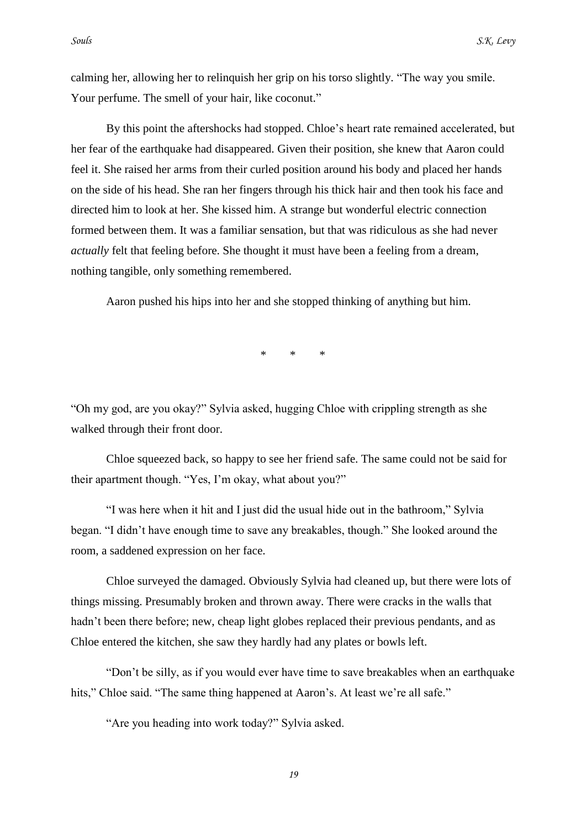calming her, allowing her to relinquish her grip on his torso slightly. "The way you smile. Your perfume. The smell of your hair, like coconut."

By this point the aftershocks had stopped. Chloe's heart rate remained accelerated, but her fear of the earthquake had disappeared. Given their position, she knew that Aaron could feel it. She raised her arms from their curled position around his body and placed her hands on the side of his head. She ran her fingers through his thick hair and then took his face and directed him to look at her. She kissed him. A strange but wonderful electric connection formed between them. It was a familiar sensation, but that was ridiculous as she had never *actually* felt that feeling before. She thought it must have been a feeling from a dream, nothing tangible, only something remembered.

Aaron pushed his hips into her and she stopped thinking of anything but him.

\* \* \*

"Oh my god, are you okay?" Sylvia asked, hugging Chloe with crippling strength as she walked through their front door.

Chloe squeezed back, so happy to see her friend safe. The same could not be said for their apartment though. "Yes, I"m okay, what about you?"

"I was here when it hit and I just did the usual hide out in the bathroom," Sylvia began. "I didn"t have enough time to save any breakables, though." She looked around the room, a saddened expression on her face.

Chloe surveyed the damaged. Obviously Sylvia had cleaned up, but there were lots of things missing. Presumably broken and thrown away. There were cracks in the walls that hadn't been there before; new, cheap light globes replaced their previous pendants, and as Chloe entered the kitchen, she saw they hardly had any plates or bowls left.

"Don"t be silly, as if you would ever have time to save breakables when an earthquake hits," Chloe said. "The same thing happened at Aaron's. At least we're all safe."

"Are you heading into work today?" Sylvia asked.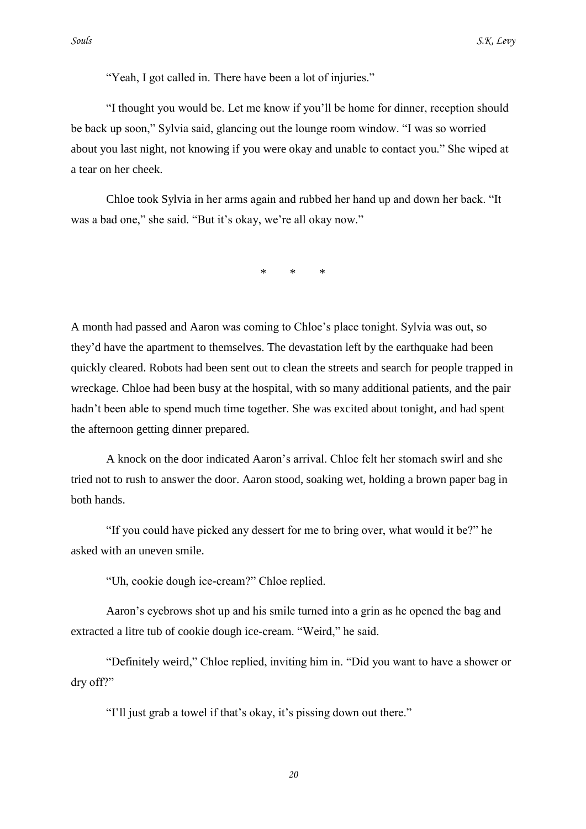"Yeah, I got called in. There have been a lot of injuries."

"I thought you would be. Let me know if you"ll be home for dinner, reception should be back up soon," Sylvia said, glancing out the lounge room window. "I was so worried about you last night, not knowing if you were okay and unable to contact you." She wiped at a tear on her cheek.

Chloe took Sylvia in her arms again and rubbed her hand up and down her back. "It was a bad one," she said. "But it's okay, we're all okay now."

\* \* \*

A month had passed and Aaron was coming to Chloe"s place tonight. Sylvia was out, so they"d have the apartment to themselves. The devastation left by the earthquake had been quickly cleared. Robots had been sent out to clean the streets and search for people trapped in wreckage. Chloe had been busy at the hospital, with so many additional patients, and the pair hadn"t been able to spend much time together. She was excited about tonight, and had spent the afternoon getting dinner prepared.

A knock on the door indicated Aaron"s arrival. Chloe felt her stomach swirl and she tried not to rush to answer the door. Aaron stood, soaking wet, holding a brown paper bag in both hands.

"If you could have picked any dessert for me to bring over, what would it be?" he asked with an uneven smile.

"Uh, cookie dough ice-cream?" Chloe replied.

Aaron"s eyebrows shot up and his smile turned into a grin as he opened the bag and extracted a litre tub of cookie dough ice-cream. "Weird," he said.

"Definitely weird," Chloe replied, inviting him in. "Did you want to have a shower or dry off?"

"I'll just grab a towel if that's okay, it's pissing down out there."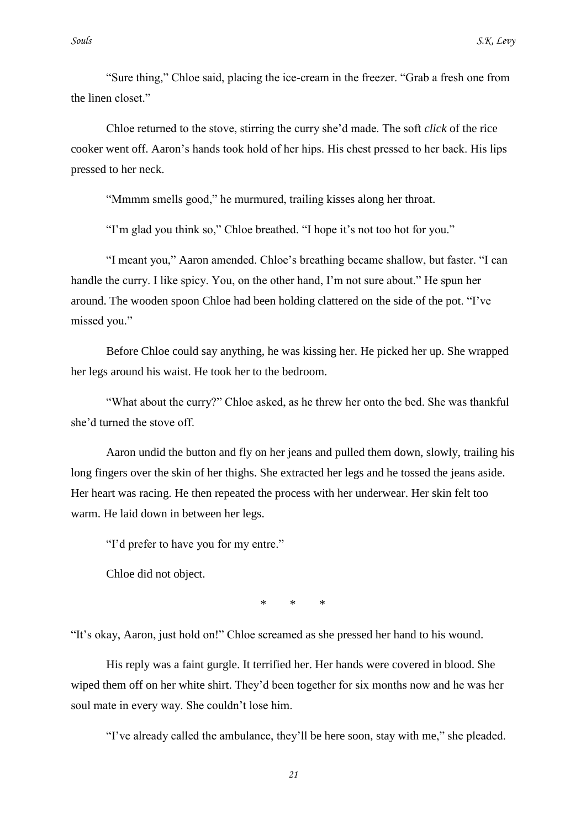"Sure thing," Chloe said, placing the ice-cream in the freezer. "Grab a fresh one from the linen closet."

Chloe returned to the stove, stirring the curry she"d made. The soft *click* of the rice cooker went off. Aaron"s hands took hold of her hips. His chest pressed to her back. His lips pressed to her neck.

"Mmmm smells good," he murmured, trailing kisses along her throat.

"I'm glad you think so," Chloe breathed. "I hope it's not too hot for you."

"I meant you," Aaron amended. Chloe"s breathing became shallow, but faster. "I can handle the curry. I like spicy. You, on the other hand, I"m not sure about." He spun her around. The wooden spoon Chloe had been holding clattered on the side of the pot. "I"ve missed you."

Before Chloe could say anything, he was kissing her. He picked her up. She wrapped her legs around his waist. He took her to the bedroom.

"What about the curry?" Chloe asked, as he threw her onto the bed. She was thankful she"d turned the stove off.

Aaron undid the button and fly on her jeans and pulled them down, slowly, trailing his long fingers over the skin of her thighs. She extracted her legs and he tossed the jeans aside. Her heart was racing. He then repeated the process with her underwear. Her skin felt too warm. He laid down in between her legs.

"I"d prefer to have you for my entre."

Chloe did not object.

\* \* \*

"It"s okay, Aaron, just hold on!" Chloe screamed as she pressed her hand to his wound.

His reply was a faint gurgle. It terrified her. Her hands were covered in blood. She wiped them off on her white shirt. They"d been together for six months now and he was her soul mate in every way. She couldn"t lose him.

"I"ve already called the ambulance, they"ll be here soon, stay with me," she pleaded.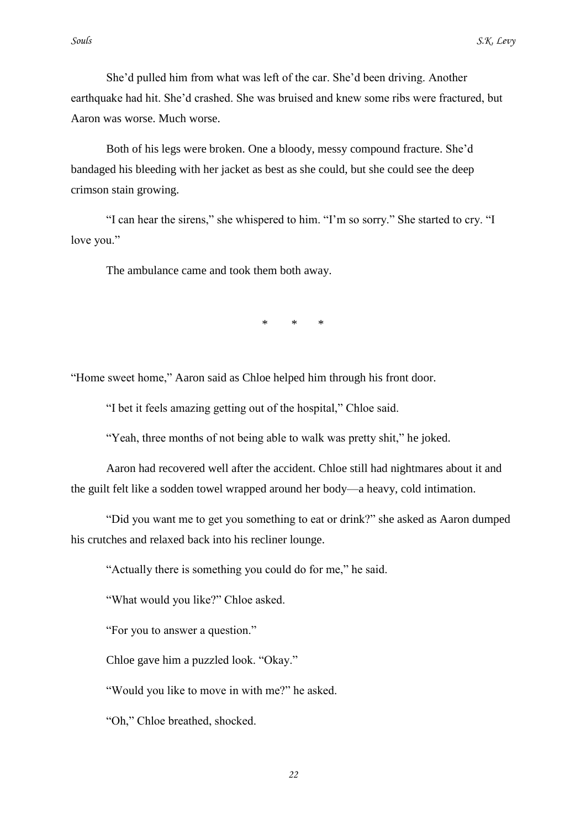She"d pulled him from what was left of the car. She"d been driving. Another earthquake had hit. She"d crashed. She was bruised and knew some ribs were fractured, but Aaron was worse. Much worse.

Both of his legs were broken. One a bloody, messy compound fracture. She"d bandaged his bleeding with her jacket as best as she could, but she could see the deep crimson stain growing.

"I can hear the sirens," she whispered to him. "I"m so sorry." She started to cry. "I love you."

The ambulance came and took them both away.

\* \* \*

"Home sweet home," Aaron said as Chloe helped him through his front door.

"I bet it feels amazing getting out of the hospital," Chloe said.

"Yeah, three months of not being able to walk was pretty shit," he joked.

Aaron had recovered well after the accident. Chloe still had nightmares about it and the guilt felt like a sodden towel wrapped around her body—a heavy, cold intimation.

"Did you want me to get you something to eat or drink?" she asked as Aaron dumped his crutches and relaxed back into his recliner lounge.

"Actually there is something you could do for me," he said.

"What would you like?" Chloe asked.

"For you to answer a question."

Chloe gave him a puzzled look. "Okay."

"Would you like to move in with me?" he asked.

"Oh," Chloe breathed, shocked.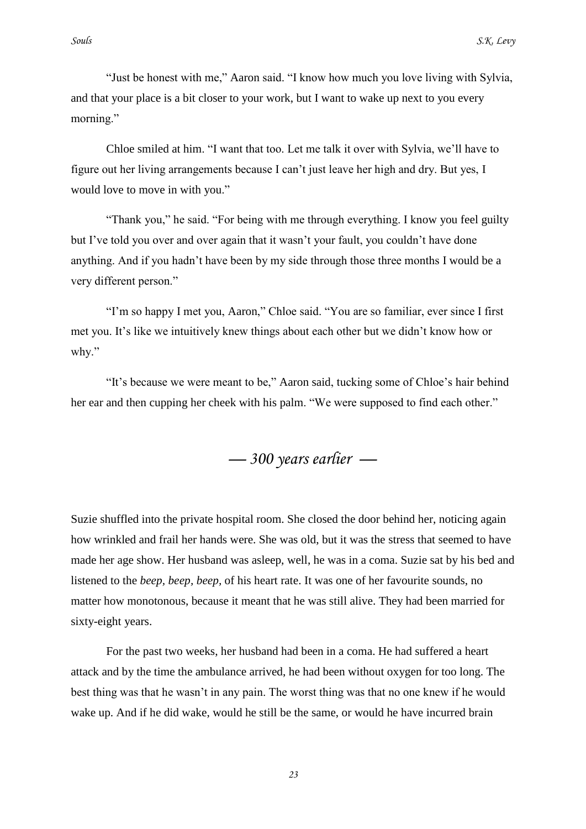"Just be honest with me," Aaron said. "I know how much you love living with Sylvia, and that your place is a bit closer to your work, but I want to wake up next to you every morning."

Chloe smiled at him. "I want that too. Let me talk it over with Sylvia, we"ll have to figure out her living arrangements because I can"t just leave her high and dry. But yes, I would love to move in with you."

"Thank you," he said. "For being with me through everything. I know you feel guilty but I"ve told you over and over again that it wasn"t your fault, you couldn"t have done anything. And if you hadn"t have been by my side through those three months I would be a very different person."

"I"m so happy I met you, Aaron," Chloe said. "You are so familiar, ever since I first met you. It's like we intuitively knew things about each other but we didn't know how or why."

"It"s because we were meant to be," Aaron said, tucking some of Chloe"s hair behind her ear and then cupping her cheek with his palm. "We were supposed to find each other."

*— 300 years earlier —*

Suzie shuffled into the private hospital room. She closed the door behind her, noticing again how wrinkled and frail her hands were. She was old, but it was the stress that seemed to have made her age show. Her husband was asleep, well, he was in a coma. Suzie sat by his bed and listened to the *beep, beep, beep,* of his heart rate. It was one of her favourite sounds, no matter how monotonous, because it meant that he was still alive. They had been married for sixty-eight years.

For the past two weeks, her husband had been in a coma. He had suffered a heart attack and by the time the ambulance arrived, he had been without oxygen for too long. The best thing was that he wasn"t in any pain. The worst thing was that no one knew if he would wake up. And if he did wake, would he still be the same, or would he have incurred brain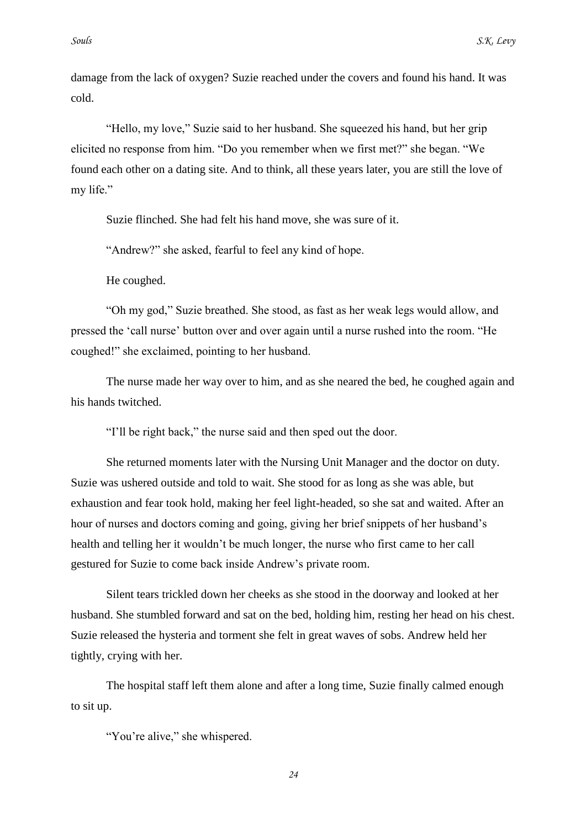damage from the lack of oxygen? Suzie reached under the covers and found his hand. It was cold.

"Hello, my love," Suzie said to her husband. She squeezed his hand, but her grip elicited no response from him. "Do you remember when we first met?" she began. "We found each other on a dating site. And to think, all these years later, you are still the love of my life."

Suzie flinched. She had felt his hand move, she was sure of it.

"Andrew?" she asked, fearful to feel any kind of hope.

He coughed.

"Oh my god," Suzie breathed. She stood, as fast as her weak legs would allow, and pressed the "call nurse" button over and over again until a nurse rushed into the room. "He coughed!" she exclaimed, pointing to her husband.

The nurse made her way over to him, and as she neared the bed, he coughed again and his hands twitched.

"I"ll be right back," the nurse said and then sped out the door.

She returned moments later with the Nursing Unit Manager and the doctor on duty. Suzie was ushered outside and told to wait. She stood for as long as she was able, but exhaustion and fear took hold, making her feel light-headed, so she sat and waited. After an hour of nurses and doctors coming and going, giving her brief snippets of her husband"s health and telling her it wouldn"t be much longer, the nurse who first came to her call gestured for Suzie to come back inside Andrew"s private room.

Silent tears trickled down her cheeks as she stood in the doorway and looked at her husband. She stumbled forward and sat on the bed, holding him, resting her head on his chest. Suzie released the hysteria and torment she felt in great waves of sobs. Andrew held her tightly, crying with her.

The hospital staff left them alone and after a long time, Suzie finally calmed enough to sit up.

"You're alive," she whispered.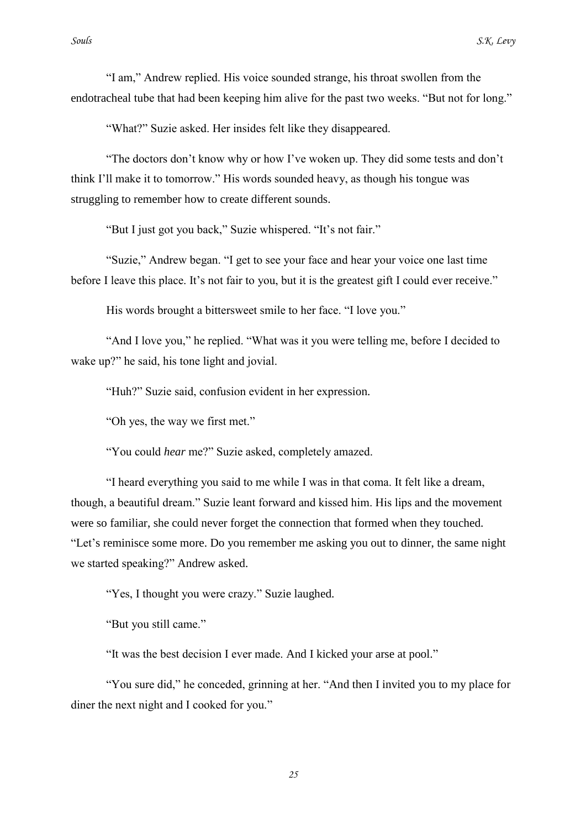"I am," Andrew replied. His voice sounded strange, his throat swollen from the endotracheal tube that had been keeping him alive for the past two weeks. "But not for long."

"What?" Suzie asked. Her insides felt like they disappeared.

"The doctors don"t know why or how I"ve woken up. They did some tests and don"t think I"ll make it to tomorrow." His words sounded heavy, as though his tongue was struggling to remember how to create different sounds.

"But I just got you back," Suzie whispered. "It's not fair."

"Suzie," Andrew began. "I get to see your face and hear your voice one last time before I leave this place. It's not fair to you, but it is the greatest gift I could ever receive."

His words brought a bittersweet smile to her face. "I love you."

"And I love you," he replied. "What was it you were telling me, before I decided to wake up?" he said, his tone light and jovial.

"Huh?" Suzie said, confusion evident in her expression.

"Oh yes, the way we first met."

"You could *hear* me?" Suzie asked, completely amazed.

"I heard everything you said to me while I was in that coma. It felt like a dream, though, a beautiful dream." Suzie leant forward and kissed him. His lips and the movement were so familiar, she could never forget the connection that formed when they touched. "Let's reminisce some more. Do you remember me asking you out to dinner, the same night we started speaking?" Andrew asked.

"Yes, I thought you were crazy." Suzie laughed.

"But you still came."

"It was the best decision I ever made. And I kicked your arse at pool."

"You sure did," he conceded, grinning at her. "And then I invited you to my place for diner the next night and I cooked for you."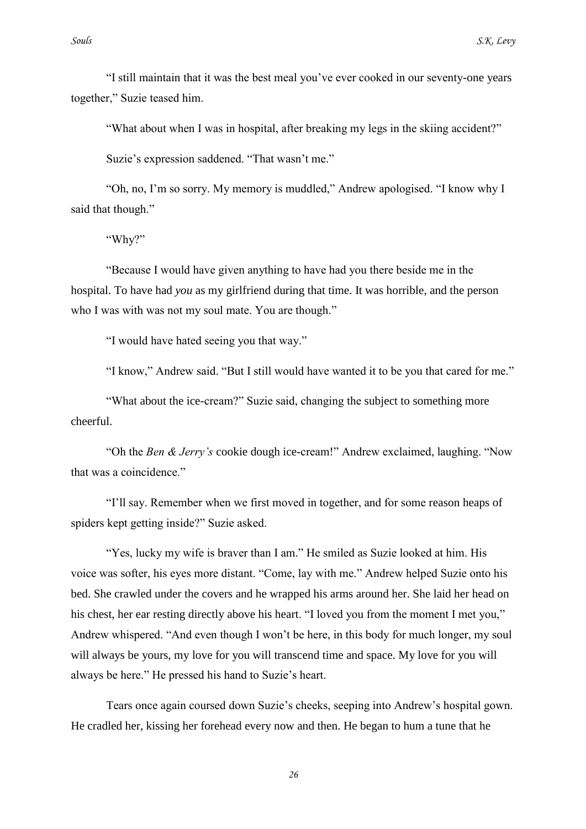"I still maintain that it was the best meal you"ve ever cooked in our seventy-one years together," Suzie teased him.

"What about when I was in hospital, after breaking my legs in the skiing accident?"

Suzie's expression saddened. "That wasn't me."

"Oh, no, I"m so sorry. My memory is muddled," Andrew apologised. "I know why I said that though."

"Why?"

"Because I would have given anything to have had you there beside me in the hospital. To have had *you* as my girlfriend during that time. It was horrible, and the person who I was with was not my soul mate. You are though."

"I would have hated seeing you that way."

"I know," Andrew said. "But I still would have wanted it to be you that cared for me."

"What about the ice-cream?" Suzie said, changing the subject to something more cheerful.

"Oh the *Ben & Jerry's* cookie dough ice-cream!" Andrew exclaimed, laughing. "Now that was a coincidence."

"I"ll say. Remember when we first moved in together, and for some reason heaps of spiders kept getting inside?" Suzie asked.

"Yes, lucky my wife is braver than I am." He smiled as Suzie looked at him. His voice was softer, his eyes more distant. "Come, lay with me." Andrew helped Suzie onto his bed. She crawled under the covers and he wrapped his arms around her. She laid her head on his chest, her ear resting directly above his heart. "I loved you from the moment I met you," Andrew whispered. "And even though I won"t be here, in this body for much longer, my soul will always be yours, my love for you will transcend time and space. My love for you will always be here." He pressed his hand to Suzie's heart.

Tears once again coursed down Suzie"s cheeks, seeping into Andrew"s hospital gown. He cradled her, kissing her forehead every now and then. He began to hum a tune that he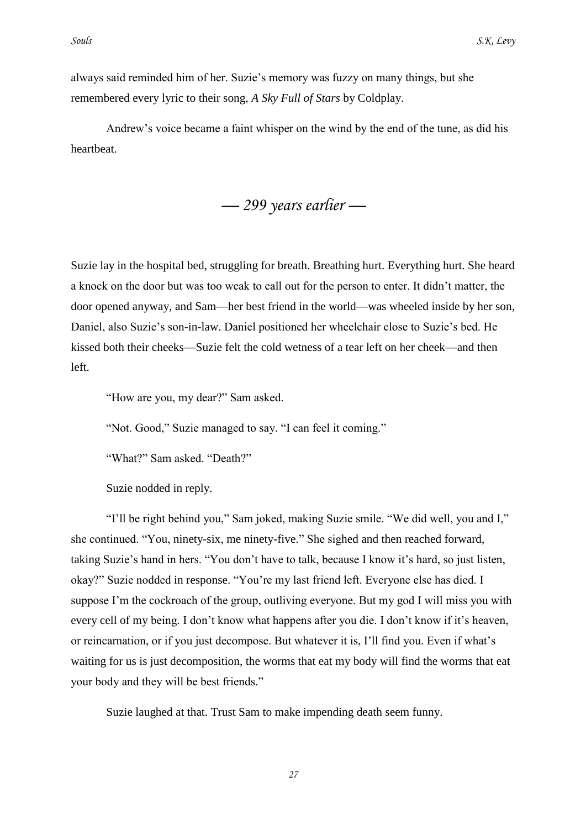always said reminded him of her. Suzie"s memory was fuzzy on many things, but she remembered every lyric to their song, *A Sky Full of Stars* by Coldplay.

Andrew"s voice became a faint whisper on the wind by the end of the tune, as did his heartbeat.

*— 299 years earlier —*

Suzie lay in the hospital bed, struggling for breath. Breathing hurt. Everything hurt. She heard a knock on the door but was too weak to call out for the person to enter. It didn"t matter, the door opened anyway, and Sam—her best friend in the world—was wheeled inside by her son, Daniel, also Suzie"s son-in-law. Daniel positioned her wheelchair close to Suzie"s bed. He kissed both their cheeks—Suzie felt the cold wetness of a tear left on her cheek—and then left.

"How are you, my dear?" Sam asked.

"Not. Good," Suzie managed to say. "I can feel it coming."

"What?" Sam asked. "Death?"

Suzie nodded in reply.

"I"ll be right behind you," Sam joked, making Suzie smile. "We did well, you and I," she continued. "You, ninety-six, me ninety-five." She sighed and then reached forward, taking Suzie's hand in hers. "You don't have to talk, because I know it's hard, so just listen, okay?" Suzie nodded in response. "You"re my last friend left. Everyone else has died. I suppose I'm the cockroach of the group, outliving everyone. But my god I will miss you with every cell of my being. I don't know what happens after you die. I don't know if it's heaven, or reincarnation, or if you just decompose. But whatever it is, I"ll find you. Even if what"s waiting for us is just decomposition, the worms that eat my body will find the worms that eat your body and they will be best friends."

Suzie laughed at that. Trust Sam to make impending death seem funny.